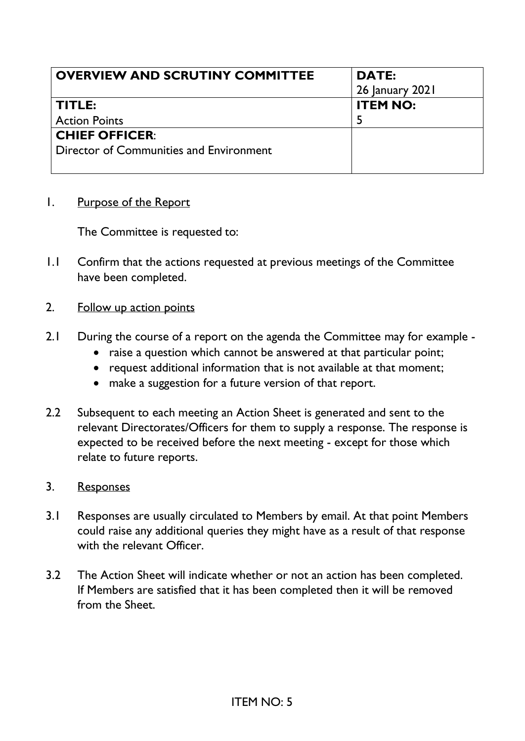| <b>OVERVIEW AND SCRUTINY COMMITTEE</b>  | <b>DATE:</b>    |
|-----------------------------------------|-----------------|
|                                         | 26 January 2021 |
| TITLE:                                  | <b>ITEM NO:</b> |
| <b>Action Points</b>                    |                 |
| <b>CHIEF OFFICER:</b>                   |                 |
| Director of Communities and Environment |                 |
|                                         |                 |

1. Purpose of the Report

The Committee is requested to:

- 1.1 Confirm that the actions requested at previous meetings of the Committee have been completed.
- 2. Follow up action points
- 2.1 During the course of a report on the agenda the Committee may for example
	- raise a question which cannot be answered at that particular point;
	- request additional information that is not available at that moment;
	- make a suggestion for a future version of that report.
- 2.2 Subsequent to each meeting an Action Sheet is generated and sent to the relevant Directorates/Officers for them to supply a response. The response is expected to be received before the next meeting - except for those which relate to future reports.
- 3. Responses
- 3.1 Responses are usually circulated to Members by email. At that point Members could raise any additional queries they might have as a result of that response with the relevant Officer.
- 3.2 The Action Sheet will indicate whether or not an action has been completed. If Members are satisfied that it has been completed then it will be removed from the Sheet.